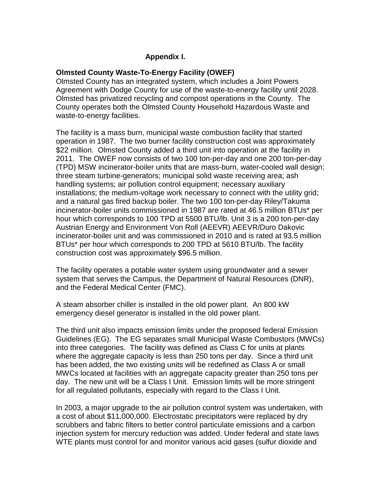# **Appendix I.**

## **Olmsted County Waste-To-Energy Facility (OWEF)**

Olmsted County has an integrated system, which includes a Joint Powers Agreement with Dodge County for use of the waste-to-energy facility until 2028. Olmsted has privatized recycling and compost operations in the County. The County operates both the Olmsted County Household Hazardous Waste and waste-to-energy facilities.

The facility is a mass burn, municipal waste combustion facility that started operation in 1987. The two burner facility construction cost was approximately \$22 million. Olmsted County added a third unit into operation at the facility in 2011. The OWEF now consists of two 100 ton-per-day and one 200 ton-per-day (TPD) MSW incinerator-boiler units that are mass-burn, water-cooled wall design; three steam turbine-generators; municipal solid waste receiving area; ash handling systems; air pollution control equipment; necessary auxiliary installations; the medium-voltage work necessary to connect with the utility grid; and a natural gas fired backup boiler. The two 100 ton-per-day Riley/Takuma incinerator-boiler units commissioned in 1987 are rated at 46.5 million BTUs\* per hour which corresponds to 100 TPD at 5500 BTU/lb. Unit 3 is a 200 ton-per-day Austrian Energy and Environment Von Roll (AEEVR) AEEVR/Duro Dakovic incinerator-boiler unit and was commissioned in 2010 and is rated at 93.5 million BTUs\* per hour which corresponds to 200 TPD at 5610 BTU/lb. The facility construction cost was approximately \$96.5 million.

The facility operates a potable water system using groundwater and a sewer system that serves the Campus, the Department of Natural Resources (DNR), and the Federal Medical Center (FMC).

A steam absorber chiller is installed in the old power plant. An 800 kW emergency diesel generator is installed in the old power plant.

The third unit also impacts emission limits under the proposed federal Emission Guidelines (EG). The EG separates small Municipal Waste Combustors (MWCs) into three categories. The facility was defined as Class C for units at plants where the aggregate capacity is less than 250 tons per day. Since a third unit has been added, the two existing units will be redefined as Class A or small MWCs located at facilities with an aggregate capacity greater than 250 tons per day. The new unit will be a Class I Unit. Emission limits will be more stringent for all regulated pollutants, especially with regard to the Class I Unit.

In 2003, a major upgrade to the air pollution control system was undertaken, with a cost of about \$11,000,000. Electrostatic precipitators were replaced by dry scrubbers and fabric filters to better control particulate emissions and a carbon injection system for mercury reduction was added. Under federal and state laws WTE plants must control for and monitor various acid gases (sulfur dioxide and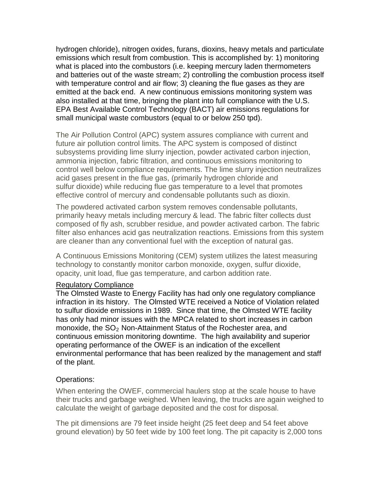hydrogen chloride), nitrogen oxides, furans, dioxins, heavy metals and particulate emissions which result from combustion. This is accomplished by: 1) monitoring what is placed into the combustors (i.e. keeping mercury laden thermometers and batteries out of the waste stream; 2) controlling the combustion process itself with temperature control and air flow; 3) cleaning the flue gases as they are emitted at the back end. A new continuous emissions monitoring system was also installed at that time, bringing the plant into full compliance with the U.S. EPA Best Available Control Technology (BACT) air emissions regulations for small municipal waste combustors (equal to or below 250 tpd).

The Air Pollution Control (APC) system assures compliance with current and future air pollution control limits. The APC system is composed of distinct subsystems providing lime slurry injection, powder activated carbon injection, ammonia injection, fabric filtration, and continuous emissions monitoring to control well below compliance requirements. The lime slurry injection neutralizes acid gases present in the flue gas, (primarily hydrogen chloride and sulfur dioxide) while reducing flue gas temperature to a level that promotes effective control of mercury and condensable pollutants such as dioxin.

The powdered activated carbon system removes condensable pollutants, primarily heavy metals including mercury & lead. The fabric filter collects dust composed of fly ash, scrubber residue, and powder activated carbon. The fabric filter also enhances acid gas neutralization reactions. Emissions from this system are cleaner than any conventional fuel with the exception of natural gas.

A Continuous Emissions Monitoring (CEM) system utilizes the latest measuring technology to constantly monitor carbon monoxide, oxygen, sulfur dioxide, opacity, unit load, flue gas temperature, and carbon addition rate.

#### Regulatory Compliance

The Olmsted Waste to Energy Facility has had only one regulatory compliance infraction in its history. The Olmsted WTE received a Notice of Violation related to sulfur dioxide emissions in 1989. Since that time, the Olmsted WTE facility has only had minor issues with the MPCA related to short increases in carbon monoxide, the  $SO<sub>2</sub>$  Non-Attainment Status of the Rochester area, and continuous emission monitoring downtime. The high availability and superior operating performance of the OWEF is an indication of the excellent environmental performance that has been realized by the management and staff of the plant.

#### Operations:

When entering the OWEF, commercial haulers stop at the scale house to have their trucks and garbage weighed. When leaving, the trucks are again weighed to calculate the weight of garbage deposited and the cost for disposal.

The pit dimensions are 79 feet inside height (25 feet deep and 54 feet above ground elevation) by 50 feet wide by 100 feet long. The pit capacity is 2,000 tons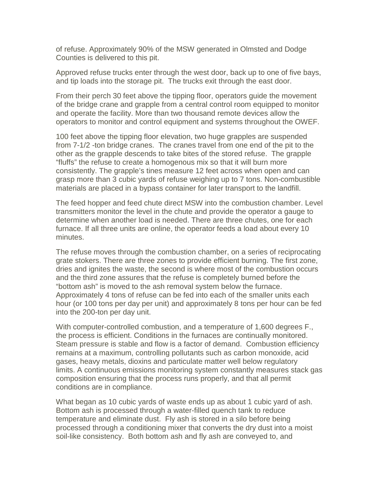of refuse. Approximately 90% of the MSW generated in Olmsted and Dodge Counties is delivered to this pit.

Approved refuse trucks enter through the west door, back up to one of five bays, and tip loads into the storage pit. The trucks exit through the east door.

From their perch 30 feet above the tipping floor, operators guide the movement of the bridge crane and grapple from a central control room equipped to monitor and operate the facility. More than two thousand remote devices allow the operators to monitor and control equipment and systems throughout the OWEF.

100 feet above the tipping floor elevation, two huge grapples are suspended from 7-1/2 -ton bridge cranes. The cranes travel from one end of the pit to the other as the grapple descends to take bites of the stored refuse. The grapple "fluffs" the refuse to create a homogenous mix so that it will burn more consistently. The grapple's tines measure 12 feet across when open and can grasp more than 3 cubic yards of refuse weighing up to 7 tons. Non-combustible materials are placed in a bypass container for later transport to the landfill.

The feed hopper and feed chute direct MSW into the combustion chamber. Level transmitters monitor the level in the chute and provide the operator a gauge to determine when another load is needed. There are three chutes, one for each furnace. If all three units are online, the operator feeds a load about every 10 minutes.

The refuse moves through the combustion chamber, on a series of reciprocating grate stokers. There are three zones to provide efficient burning. The first zone, dries and ignites the waste, the second is where most of the combustion occurs and the third zone assures that the refuse is completely burned before the "bottom ash" is moved to the ash removal system below the furnace. Approximately 4 tons of refuse can be fed into each of the smaller units each hour (or 100 tons per day per unit) and approximately 8 tons per hour can be fed into the 200-ton per day unit.

With computer-controlled combustion, and a temperature of 1,600 degrees F., the process is efficient. Conditions in the furnaces are continually monitored. Steam pressure is stable and flow is a factor of demand. Combustion efficiency remains at a maximum, controlling pollutants such as carbon monoxide, acid gases, heavy metals, dioxins and particulate matter well below regulatory limits. A continuous emissions monitoring system constantly measures stack gas composition ensuring that the process runs properly, and that all permit conditions are in compliance.

What began as 10 cubic yards of waste ends up as about 1 cubic yard of ash. Bottom ash is processed through a water-filled quench tank to reduce temperature and eliminate dust. Fly ash is stored in a silo before being processed through a conditioning mixer that converts the dry dust into a moist soil-like consistency. Both bottom ash and fly ash are conveyed to, and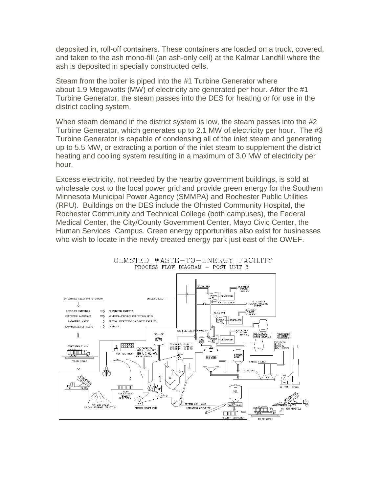deposited in, roll-off containers. These containers are loaded on a truck, covered, and taken to the ash mono-fill (an ash-only cell) at the Kalmar Landfill where the ash is deposited in specially constructed cells.

Steam from the boiler is piped into the #1 Turbine Generator where about 1.9 Megawatts (MW) of electricity are generated per hour. After the #1 Turbine Generator, the steam passes into the DES for heating or for use in the district cooling system.

When steam demand in the district system is low, the steam passes into the #2 Turbine Generator, which generates up to 2.1 MW of electricity per hour. The #3 Turbine Generator is capable of condensing all of the inlet steam and generating up to 5.5 MW, or extracting a portion of the inlet steam to supplement the district heating and cooling system resulting in a maximum of 3.0 MW of electricity per hour.

Excess electricity, not needed by the nearby government buildings, is sold at wholesale cost to the local power grid and provide green energy for the Southern Minnesota Municipal Power Agency (SMMPA) and Rochester Public Utilities (RPU). Buildings on the DES include the Olmsted Community Hospital, the Rochester Community and Technical College (both campuses), the Federal Medical Center, the City/County Government Center, Mayo Civic Center, the Human Services Campus. Green energy opportunities also exist for businesses who wish to locate in the newly created energy park just east of the OWEF.



OLMSTED WASTE-TO-ENERGY FACILITY PROCESS FLOW DIAGRAM - POST UNIT 3